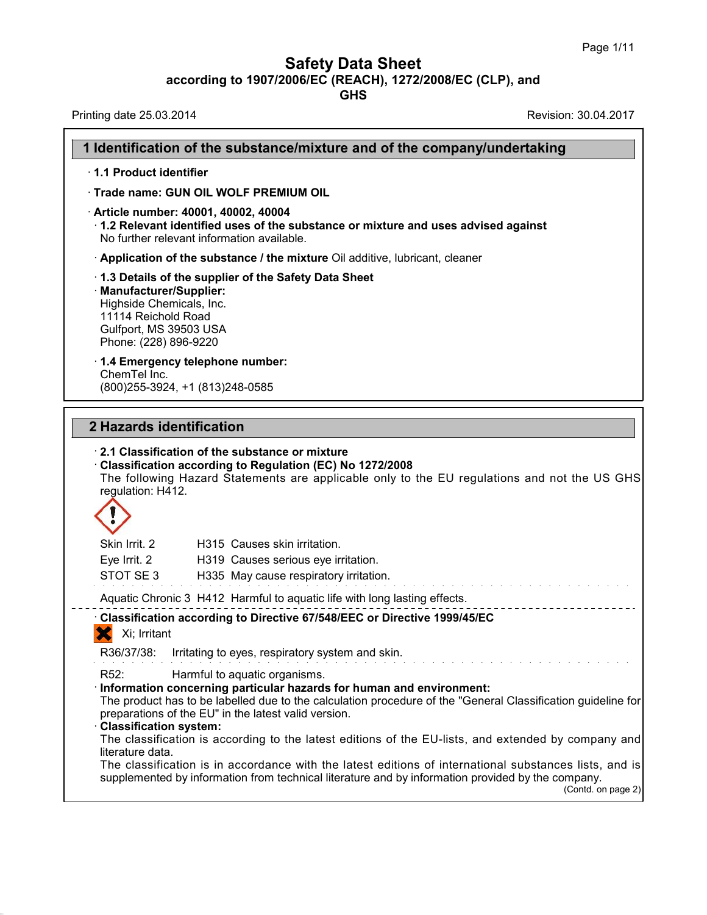**Safety Data Sheet**<br> **according to 1907/2006/EC (REACH), 1272/2008/EC (CLP), and**<br> **GHS** 

|                                                                                                                                                                                                                     | Page 1/11<br><b>Safety Data Sheet</b><br>according to 1907/2006/EC (REACH), 1272/2008/EC (CLP), and<br><b>GHS</b>                                                                                                                 |
|---------------------------------------------------------------------------------------------------------------------------------------------------------------------------------------------------------------------|-----------------------------------------------------------------------------------------------------------------------------------------------------------------------------------------------------------------------------------|
| Printing date 25.03.2014                                                                                                                                                                                            | Revision: 30.04.2017                                                                                                                                                                                                              |
|                                                                                                                                                                                                                     | 1 Identification of the substance/mixture and of the company/undertaking                                                                                                                                                          |
| 1.1 Product identifier                                                                                                                                                                                              |                                                                                                                                                                                                                                   |
| Trade name: GUN OIL WOLF PREMIUM OIL                                                                                                                                                                                |                                                                                                                                                                                                                                   |
| · Article number: 40001, 40002, 40004<br>No further relevant information available.                                                                                                                                 | $\cdot$ 1.2 Relevant identified uses of the substance or mixture and uses advised against                                                                                                                                         |
| Application of the substance / the mixture Oil additive, lubricant, cleaner                                                                                                                                         |                                                                                                                                                                                                                                   |
| 1.3 Details of the supplier of the Safety Data Sheet<br>Manufacturer/Supplier:<br>Highside Chemicals, Inc.<br>11114 Reichold Road<br>Gulfport, MS 39503 USA<br>Phone: (228) 896-9220                                |                                                                                                                                                                                                                                   |
| 1.4 Emergency telephone number:<br>ChemTel Inc.<br>(800) 255-3924, +1 (813) 248-0585                                                                                                                                |                                                                                                                                                                                                                                   |
| 2 Hazards identification<br>2.1 Classification of the substance or mixture<br>Classification according to Regulation (EC) No 1272/2008<br>regulation: H412.                                                         | The following Hazard Statements are applicable only to the EU regulations and not the US GHS                                                                                                                                      |
| Skin Irrit. 2<br>H315 Causes skin irritation.                                                                                                                                                                       |                                                                                                                                                                                                                                   |
| Eve Irrit. 2<br>H319 Causes serious eye irritation.<br>STOT SE3<br>H335 May cause respiratory irritation.                                                                                                           |                                                                                                                                                                                                                                   |
| Aquatic Chronic 3 H412 Harmful to aquatic life with long lasting effects.                                                                                                                                           |                                                                                                                                                                                                                                   |
| Classification according to Directive 67/548/EEC or Directive 1999/45/EC                                                                                                                                            |                                                                                                                                                                                                                                   |
| Xi; Irritant                                                                                                                                                                                                        |                                                                                                                                                                                                                                   |
| R36/37/38:<br>Irritating to eyes, respiratory system and skin.                                                                                                                                                      |                                                                                                                                                                                                                                   |
| R <sub>52</sub> :<br>Harmful to aquatic organisms.<br>Information concerning particular hazards for human and environment:<br>preparations of the EU" in the latest valid version.<br><b>Classification system:</b> | The product has to be labelled due to the calculation procedure of the "General Classification guideline for<br>The classification is according to the latest editions of the EU-lists, and extended by company and               |
| literature data.                                                                                                                                                                                                    | The classification is in accordance with the latest editions of international substances lists, and is<br>supplemented by information from technical literature and by information provided by the company.<br>(Contd. on page 2) |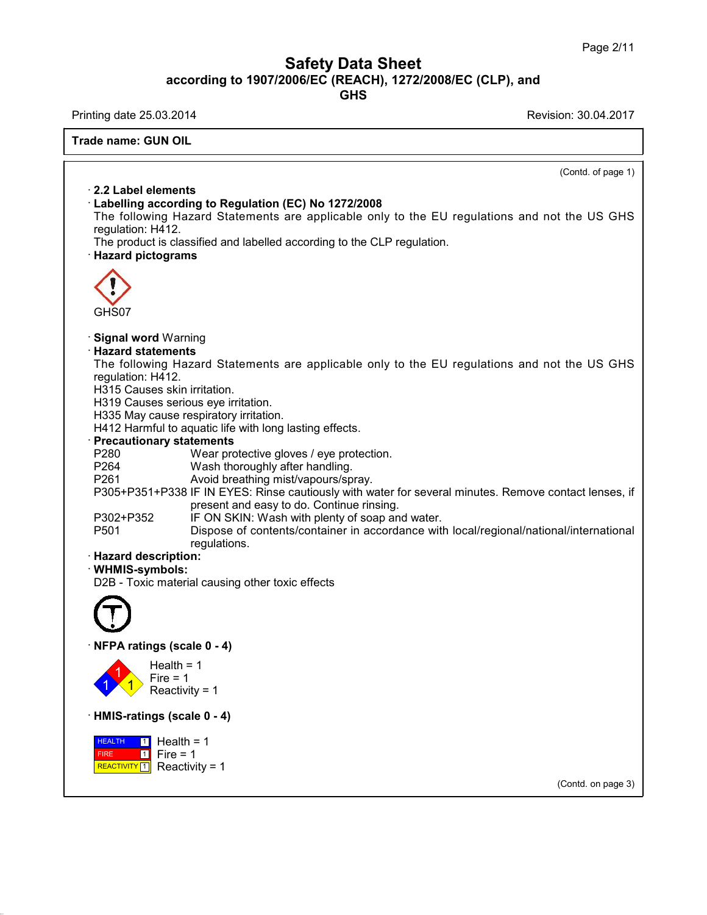## **Safety Data Sheet**<br> **according to 1907/2006/EC (REACH), 1272/2008/EC (CLP), and**<br> **GHS Safety Data Sheet**<br>according to 1907/2006/EC (REACH), 1272/2008/EC (CLP), and<br>Printing date 25.03.2014<br>Revision: 30.04.2017<br>Frade name: GUN OIL

L

| Revision: 30.04.2017<br>Printing date 25.03.2014<br><b>Trade name: GUN OIL</b><br>(Contd. of page 1)<br>$\cdot$ 2.2 Label elements<br>Labelling according to Regulation (EC) No 1272/2008<br>The following Hazard Statements are applicable only to the EU regulations and not the US GHS<br>regulation: H412.<br>The product is classified and labelled according to the CLP regulation.<br>· Hazard pictograms<br>GHS07<br>· Signal word Warning<br><b>Hazard statements</b><br>The following Hazard Statements are applicable only to the EU regulations and not the US GHS<br>regulation: H412.<br>H315 Causes skin irritation.<br>H319 Causes serious eye irritation.<br>H335 May cause respiratory irritation.<br>H412 Harmful to aquatic life with long lasting effects.<br><b>Precautionary statements</b><br>P280<br>Wear protective gloves / eye protection.<br>Wash thoroughly after handling.<br>P264<br>Avoid breathing mist/vapours/spray.<br>P261<br>P305+P351+P338 IF IN EYES: Rinse cautiously with water for several minutes. Remove contact lenses, if<br>present and easy to do. Continue rinsing.<br>IF ON SKIN: Wash with plenty of soap and water.<br>P302+P352<br>Dispose of contents/container in accordance with local/regional/national/international<br>P501<br>regulations.<br>· Hazard description:<br>· WHMIS-symbols:<br>D2B - Toxic material causing other toxic effects<br>NFPA ratings (scale 0 - 4)<br>Health = $1$<br>Fire $= 1$<br>Reactivity = 1<br>· HMIS-ratings (scale 0 - 4)<br>Health = $1$<br><b>HEALTH</b><br>$\vert$ 1 $\vert$<br>Fire $= 1$<br>$\blacksquare$<br>FIRE<br>REACTIVITY [1]<br>Reactivity = $1$ | according to 1907/2006/EC (REACH), 1272/2008/EC (CLP), and<br><b>GHS</b> |                    |
|-------------------------------------------------------------------------------------------------------------------------------------------------------------------------------------------------------------------------------------------------------------------------------------------------------------------------------------------------------------------------------------------------------------------------------------------------------------------------------------------------------------------------------------------------------------------------------------------------------------------------------------------------------------------------------------------------------------------------------------------------------------------------------------------------------------------------------------------------------------------------------------------------------------------------------------------------------------------------------------------------------------------------------------------------------------------------------------------------------------------------------------------------------------------------------------------------------------------------------------------------------------------------------------------------------------------------------------------------------------------------------------------------------------------------------------------------------------------------------------------------------------------------------------------------------------------------------------------------------------------------------------------------------------|--------------------------------------------------------------------------|--------------------|
|                                                                                                                                                                                                                                                                                                                                                                                                                                                                                                                                                                                                                                                                                                                                                                                                                                                                                                                                                                                                                                                                                                                                                                                                                                                                                                                                                                                                                                                                                                                                                                                                                                                             |                                                                          |                    |
|                                                                                                                                                                                                                                                                                                                                                                                                                                                                                                                                                                                                                                                                                                                                                                                                                                                                                                                                                                                                                                                                                                                                                                                                                                                                                                                                                                                                                                                                                                                                                                                                                                                             |                                                                          |                    |
|                                                                                                                                                                                                                                                                                                                                                                                                                                                                                                                                                                                                                                                                                                                                                                                                                                                                                                                                                                                                                                                                                                                                                                                                                                                                                                                                                                                                                                                                                                                                                                                                                                                             |                                                                          |                    |
|                                                                                                                                                                                                                                                                                                                                                                                                                                                                                                                                                                                                                                                                                                                                                                                                                                                                                                                                                                                                                                                                                                                                                                                                                                                                                                                                                                                                                                                                                                                                                                                                                                                             |                                                                          |                    |
|                                                                                                                                                                                                                                                                                                                                                                                                                                                                                                                                                                                                                                                                                                                                                                                                                                                                                                                                                                                                                                                                                                                                                                                                                                                                                                                                                                                                                                                                                                                                                                                                                                                             |                                                                          |                    |
|                                                                                                                                                                                                                                                                                                                                                                                                                                                                                                                                                                                                                                                                                                                                                                                                                                                                                                                                                                                                                                                                                                                                                                                                                                                                                                                                                                                                                                                                                                                                                                                                                                                             |                                                                          | (Contd. on page 3) |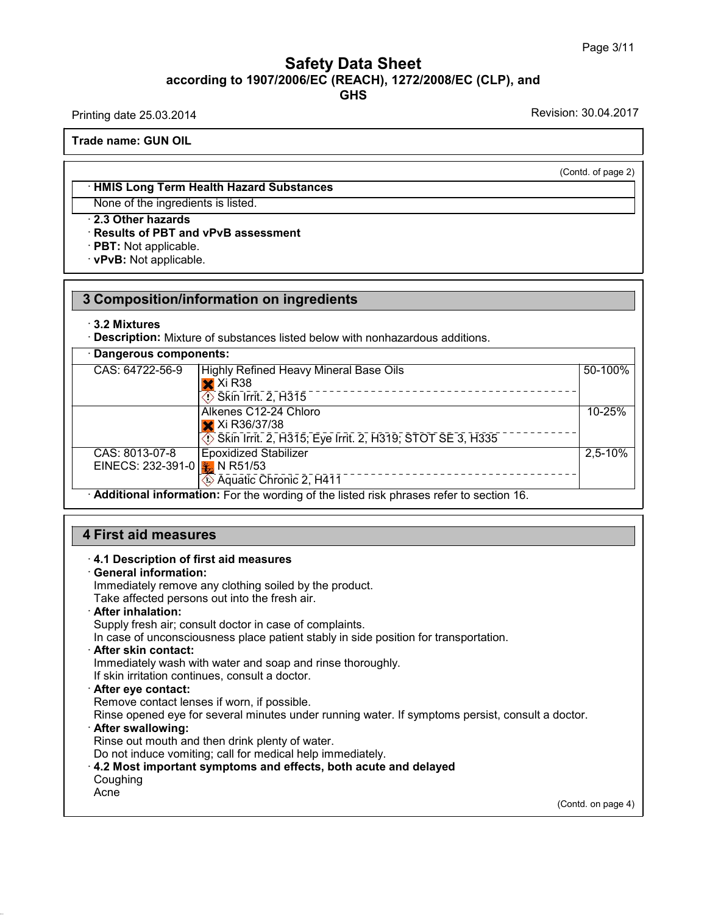### Page 3/<br> **Safety Data Sheet**<br> **according to 1907/2006/EC (REACH), 1272/2008/EC (CLP), and**<br> **GHS GHS Safety Data Sheet**<br>according to 1907/2006/EC (REACH), 1272/2008/EC (CLP), and<br>Printing date 25.03.2014<br>Revision: 30.04.2017<br>Frade name: GUN OIL **ACCORDING TO ACCORD ACCORDING TO A Trade name: GUN OIL**<br>Trade name: GUN OIL

(Contd. of page 2)

**Example 18 Analytical COVID COVIDENT:**<br>• **HMIS Long Term Health Hazard Substances**<br>• None of the ingredients is listed. None of the ingredients is listed.<br>• HMIS Long Term Health Hazard Substance<br>• 2.3 Other hazards<br>• Results of PBT and vPvB assessment<br>• PBT: Not applicable. **EXAMIS Long Term Health Hazard Substances**<br>None of the ingredients is listed.<br>**2.3 Other hazards<br>Results of PBT and vPvB assessment**<br>PBT: Not applicable.<br>PRT: Not applicable. • **HMIS Long Term Health Haz**<br>None of the ingredients is liste<br>• **2.3 Other hazards**<br>• **Results of PBT and vPvB as**<br>• **PBT**: Not applicable.<br>• **vPvB**: Not applicable.

|                                                            | 3 Composition/information on ingredients                                                                 |             |
|------------------------------------------------------------|----------------------------------------------------------------------------------------------------------|-------------|
| $\cdot$ 3.2 Mixtures                                       | · Description: Mixture of substances listed below with nonhazardous additions.                           |             |
| Dangerous components:                                      |                                                                                                          |             |
| CAS: 64722-56-9                                            | <b>Highly Refined Heavy Mineral Base Oils</b><br>$\mathsf{\times}$ Xi R38<br>$\circ$ Skin Irrit. 2, H315 | 50-100%     |
|                                                            | Alkenes C12-24 Chloro<br>X Xi R36/37/38<br>Skin Irrit. 2, H315; Eye Irrit. 2, H319; STOT SE 3, H335      | 10-25%      |
| CAS: 8013-07-8<br>EINECS: 232-391-0 $\frac{1}{2}$ N R51/53 | <b>Epoxidized Stabilizer</b><br>----------------------<br>Aquatic Chronic 2, H411                        | $2,5 - 10%$ |
|                                                            | Additional information: For the wording of the listed risk phrases refer to section 16.                  |             |

# • **Additional Information:** For the wording of the<br> **4.1 Description of first aid measures**<br>
• **4.1 Description of first aid measures**<br>
• **General information:**<br>
Immediately remove any clothing soiled by the p

**First aid measures**<br> **4.1 Description of first aid**<br> **General information:**<br>
Immediately remove any clo<br>
Take affected persons out in First aid measures<br>4.1 Description of first aid measures<br>General information:<br>Immediately remove any clothing soiled by the product.<br>Take affected persons out into the fresh air.<br>After inhalation: **First aid measures**<br> **A.1 Description of first aid measures**<br> **Ceneral information:**<br>
Immediately remove any clothing soiled by the product.<br>
Take affected persons out into the fresh air.<br> **After inhalation:**<br>
Supply fres 4.1 Description of first aid measures<br>General information:<br>Immediately remove any clothing soiled by the product.<br>Take affected persons out into the fresh air.<br>After inhalation:<br>Supply fresh air; consult doctor in case of **In case of unconsciousness place by the product.**<br>
Take affected persons out into the fresh air.<br> **After inhalation:**<br>
Supply fresh air; consult doctor in case of complaints.<br>
In case of unconsciousness place patient stab

Take affected persons out into the fresh air.<br> **After inhalation:**<br>
Supply fresh air; consult doctor in case of complaints.<br>
In case of unconsciousness place patient stably in side position for the<br> **After skin contact:**<br> If Supply fresh air; consult doctor in case of complaints.<br>In case of unconsciousness place patient stably in side<br> **After skin contact:**<br>
Immediately wash with water and soap and rinse thoror<br>
If skin irritation continues

In case of unconsciousness place patient stably in sidentler skin contact:<br>
Immediately wash with water and soap and rinse tholor<br>
If skin irritation continues, consult a doctor.<br> **After eye contact:**<br>
Remove contact lense Refler skin contact:<br>
Immediately wash with water and soap and rinse thoroughly.<br>
If skin irritation continues, consult a doctor.<br> **After eye contact:**<br>
Remove contact lenses if worn, if possible.<br>
Rinse opened eye for sev If skin irritation continues, consult a doctor.<br>
After eye contact:<br>
Remove contact lenses if worn, if possible.<br>
Rinse opened eye for several minutes under running water. If symptoms persist, consult a doctor.<br>
After swal Or After eye contact:<br>
Rimove contact lenses if worn, if possible.<br>
Rinse opened eye for several minutes under running water. If symptoms persist, c<br> **After swallowing:**<br>
Rinse out mouth and then drink plenty of water.<br>
Do

Coughing

Acne

38.0.16

(Contd. on page 4)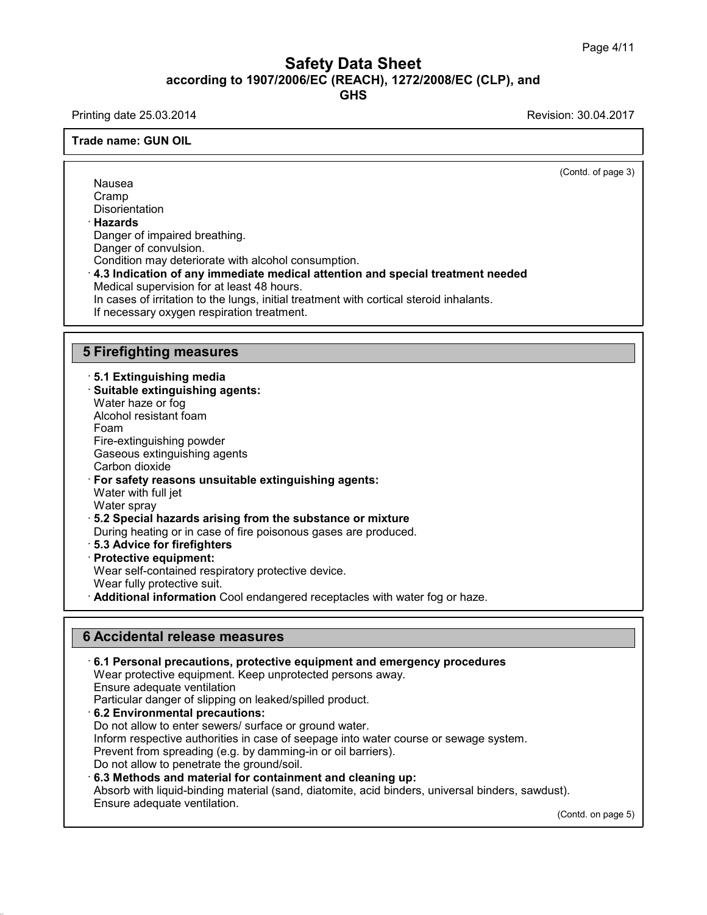### Safety Data Sheet<br><sub>006/EC (REACH), 1272/2008/EC (CLP),<br>GHS</sub> Page 4/11<br>**according to 1907/2006/EC (REACH), 1272/2008/EC (CLP), and<br>GHS<br>Revision: 30.04.2017<br>Revision: 30.04.2017 GHS Safety Data Sheet**<br>according to 1907/2006/EC (REACH), 1272/2008/EC (CLP), and<br>Printing date 25.03.2014<br>Revision: 30.04.2017<br>Frade name: GUN OIL

**ACCORDING TO ACCORD ACCORDING TO A Trade name: GUN OIL**<br>Trade name: GUN OIL  $\overline{(\text{Cond. of page 3})}$ Nausea Cramp **Disorientation** · **Hazards** Nausea<br>Cramp<br>Disorientation<br>**Hazards**<br>Danger of impaired breathing.<br>Danger of convulsion.<br>Condition may deteriorate with alcohol. Danger of impaired breathing.<br>Danger of convulsion. Cramp<br> **Condition may deteriorate with alcohol consumption.**<br> **Condition may deteriorate with alcohol consumption.**<br> **4.3 Indication of any immediate medical attention and special treatment needed**<br> **Medical supervision fo** Hazards<br>Danger of impaired breathing.<br>Danger of convulsion.<br>Condition may deteriorate with alcohol consumption.<br>4.3 Indication of any immediate medical attention<br>Medical supervision for at least 48 hours.<br>In cases of irrit Danger of impaired breathing.<br>Danger of convulsion.<br>Condition may deteriorate with alcohol consumption.<br>**4.3 Indication of any immediate medical attention and special treatment needed**<br>Medical supervision for at least 48 h Condition may deteriorate with alcohol consumption.<br>4.3 Indication of any immediate medical attention and special treatment n<br>Medical supervision for at least 48 hours.<br>In cases of irritation to the lungs, initial treatmen 4.3 Indication of any Immediate medi-<br>
Medical supervision for at least 48 hours<br>
In cases of irritation to the lungs, initial t<br>
If necessary oxygen respiration treatme<br>
5 Firefighting measures<br>
5.1 Extinguishing media **Firefighting measures**<br> **5.1 Extinguishing media**<br>
• Suitable extinguishing agents:<br>
™Mater haze or foo **Firefighting measures<br>· 5.1 Extinguishing media<br>· Suitable extinguishing agents:<br>Water haze or fog<br>Alcohol resistant foam** Firefighting measures<br>5.1 Extinguishing media<br>Suitable extinguishing agents:<br>Water haze or fog<br>Alcohol resistant foam Firefighting measures<br>5.1 Extinguishing media<br>Suitable extinguishing agents:<br>Water haze or fog<br>Alcohol resistant foam<br>Foam<br>Fire-extinguishing powder Foam **5.1 Extinguishing media<br>Suitable extinguishing agents:**<br>Water haze or fog<br>Alcohol resistant foam<br>Foam<br>Fire-extinguishing powder<br>Gaseous extinguishing agents<br>Carbon dioxide **Suitable extinguishing agents:**<br>Water haze or fog<br>Alcohol resistant foam<br>Foam<br>Fire-extinguishing powder<br>Gaseous extinguishing agents<br>Carbon dioxide<br>**For safety reasons unsuitable extinguis** 

Water haze or fog<br>Alcohol resistant foam<br>Foam<br>Fire-extinguishing powder<br>Gaseous extinguishing age<br>Carbon dioxide<br>**For safety reasons unsui**<br>Water with full jet Alconol resistant roam<br>
Foam<br>
Fire-extinguishing powder<br>
Gaseous extinguishing agents<br>
Carbon dioxide<br> **For safety reasons unsuitable extinguishing agents:**<br>
Water with full jet<br>
Water sprav Foam<br>Fire-extinguishing powder<br>Gaseous extinguishing agents<br>Carbon dioxide<br>**For safety reasons unsuitable e**<br>Water with full jet<br>Water spray<br>5.2 Special bazards arising from Fire-extinguishing powder<br>Gaseous extinguishing ag<br>Carbon dioxide<br>**For safety reasons unsu**<br>Water with full jet<br>Water spray<br>**5.2 Special hazards aris**<br>During beating or in case Gaseous extinguishing agents<br>
Carbon dioxide<br>
For safety reasons unsuitable extinguishing agents:<br>
Water with full jet<br>
Water spray<br>
5.2 Special hazards arising from the substance or mixture<br>
During heating or in case of f Carbon dioxide<br>
For safety reasons unsuitable extinguishing agents:<br>
Water with full jet<br>
Water spray<br> **5.2 Special hazards arising from the substance or mixture**<br>
During heating or in case of fire poisonous gases are prod Water with full jet<br>
Water spray<br>
5.2 **Special hazards arising f**<br>
During heating or in case of fire<br> **Protective equipment:**<br>
Wear self-contained respirator<br>
Wear fully protective suit.

Water spray<br>**5.2 Special hazards arising from the substance or mixture**<br>During heating or in case of fire poisonous gases are produce<br>**5.3 Advice for firefighters**<br>**Protective equipment:**<br>Wear self-contained respiratory pr

- 
- 

38.0.16

**Branch Fully protective suiters of the substance or mixture**<br> **Branch Cool Exercise** State for firefighters<br> **Protective equipment:**<br>
Wear self-contained respiratory protective device.<br>
Wear fully protective suit.<br> **Addit** 

Frotective equipment:<br>
Wear self-contained respiratory protective device<br>
Wear fully protective suit.<br> **Additional information** Cool endangered recept<br> **6 Accidental release measures**<br>
6.1 Personal precautions, protective • **Additional Information** Cool endangered receptacies with water fog or haze.<br> **• Accidental release measures**<br>
• **6.1 Personal precautions, protective equipment and emergency procedures**<br>
Wear protective equipment. Keep **Accidental release measures<br>6.1 Personal precautions, protective equipment and emergency proce**<br>Wear protective equipment. Keep unprotected persons away.<br>Ensure adequate ventilation<br>Particular danger of slipping on leaked **Accidental release measures<br>6.1 Personal precautions, protective<br>Wear protective equipment. Keep un<br>Ensure adequate ventilation<br>Particular danger of slipping on leake<br>6.2 Environmental precautions: Example 19 Accidental release measures**<br> **EXECT: CAT Personal precautions, protective equipment and emerger**<br>
Wear protective equipment. Keep unprotected persons away.<br>
Ensure adequate ventilation<br>
Particular danger of **6.1 Personal precautions, protective equipment and emergenc**<br>Wear protective equipment. Keep unprotected persons away.<br>Ensure adequate ventilation<br>Particular danger of slipping on leaked/spilled product.<br>**6.2 Environmenta** Wear protective equipment. Keep unprotected persons away.<br>Ensure adequate ventilation<br>Particular danger of slipping on leaked/spilled product.<br>**6.2 Environmental precautions:**<br>Do not allow to enter sewers/ surface or groun Ensure adequate ventilation<br>Particular danger of slipping on leaked/spilled product.<br>6.2 Environmental precautions:<br>Do not allow to enter sewers/ surface or ground water.<br>Inform respective authorities in case of seepage in Particular danger of slipping on leaked/spilled product.<br> **6.2 Environmental precautions:**<br>
Do not allow to enter sewers/ surface or ground water.<br>
Inform respective authorities in case of seepage into water course or sewa Do not allow to enter sewers/ surface or ground water.<br>
Inform respective authorities in case of seepage into water course or sewage system.<br>
Prevent from spreading (e.g. by damming-in or oil barriers).<br>
Do not allow to p Prevent from spreading (e.g. by damming-in or oil barriers).  $(t)$ .<br>(Contd. on page 5)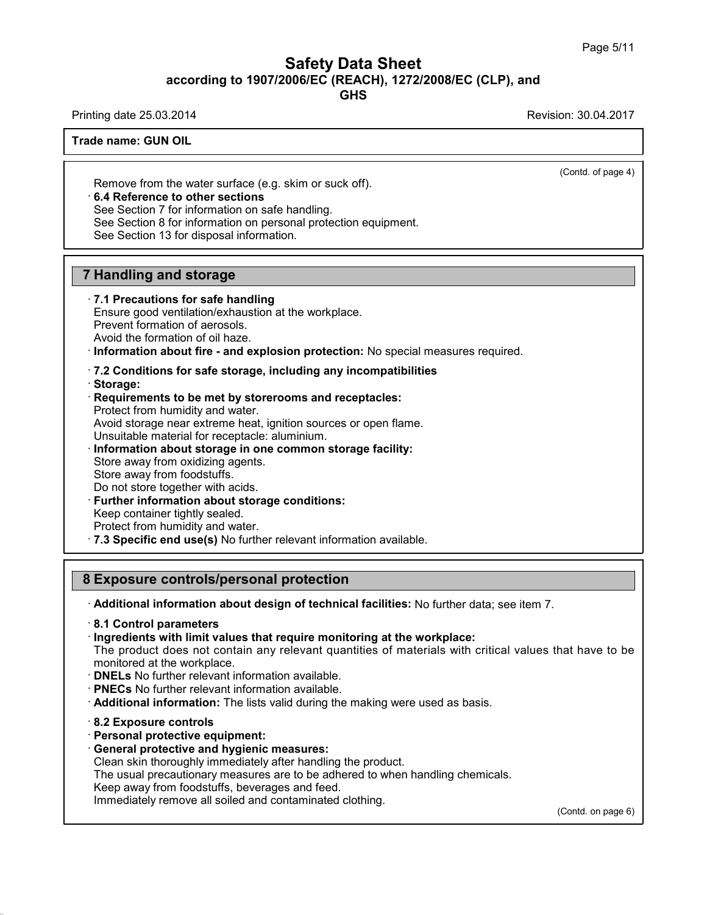## Safety Data Sheet<br><sub>006/EC (REACH), 1272/2008/EC (CLP),<br>GHS</sub> Page 5/11<br>**according to 1907/2006/EC (REACH), 1272/2008/EC (CLP), and<br>GHS<br>Revision: 30.04.2017<br>Revision: 30.04.2017 Safety Data Sheet**<br>according to 1907/2006/EC (REACH), 1272/2008/EC (CLP), and<br>Printing date 25.03.2014<br>Revision: 30.04.2017<br>Frade name: GUN OIL

**GHS**

**ACCORDING TO ACCORD ACCORDING TO A Trade name: GUN OIL**<br>Trade name: GUN OIL

 $\overline{(\text{Cond. of page 4})}$ 

Remove from the water surface (e.g. skim or suck off).<br> **Remove from the water surface (e.g. skim or suck off).**<br> **• 6.4 Reference to other sections**<br>
See Section 7 for information on safe handling.<br>
See Section 8 for info Frames. GON OLL<br>
See Namove from the water surface (e.g. skim or suck off).<br>
6.4 Reference to other sections<br>
See Section 7 for information on safe handling.<br>
See Section 13 for disposal information<br>
See Section 13 for dis Remove from the water surface (e.g. skim or so<br>
6.4 Reference to other sections<br>
See Section 7 for information on safe handling.<br>
See Section 8 for information on personal prote<br>
See Section 13 for disposal information.

**6.4 Reference to other sections**<br>See Section 7 for information on safe handling.<br>See Section 8 for information on personal protection equipment.<br>See Section 13 for disposal information. See Section 7 for information on safe handling.<br>
See Section 8 for information on personal prote<br>
See Section 13 for disposal information.<br> **7 Handling and storage**<br> **7.1 Precautions for safe handling** 

See Section 13 for disposal information.<br> **7.1 Precautions for safe handling**<br> **7.1 Precautions for safe handling**<br>
Ensure good ventilation/exhaustion at the wor<br>
Prevent formation of aerosols. **Handling and storage<br>T.1 Precautions for safe handling<br>Ensure good ventilation/exhaustion at the workplace.<br>Prevent formation of aerosols.<br>Avoid the formation of oil haze. Handling and storage**<br> **7.1 Precautions for safe handling**<br>
Ensure good ventilation/exhaustion at th<br>
Prevent formation of aerosols.<br>
Avoid the formation of oil haze.<br>
Information about fire - and explosion

**Provided the formation of oil haze.**<br> **Provent formation of aerosols.**<br> **Prevent formation of aerosols.**<br> **Avoid the formation of oil haze.**<br> **Provent formation about fire - and explosion protection:** No special measures

# Avoid the formation of oil haze.<br> **Consider information about fire - and explosion protection:** No special m<br> **Requirements to be met by storerooms and receptacles:**<br> **Requirements to be met by storerooms and receptacles:**

- 
- · **Storage:**

Information about fire - and explosion prot<br>7.2 Conditions for safe storage, including<br>Storage:<br>Requirements to be met by storerooms an<br>Protect from humidity and water.<br>Avoid storage near extreme heat, ignition sou T.2 Conditions for safe storage, including any incompatibilities<br>Storage:<br>Requirements to be met by storerooms and receptacles:<br>Protect from humidity and water.<br>Avoid storage near extreme heat, ignition sources or open fla T.2 Conditions for safe storage, including any incompatibilities<br>
Storage:<br>
Protect from humidity and water.<br>
Protect from humidity and water.<br>
Avoid storage near extreme heat, ignition sources or open flame.<br>
Unsuitable m Requirements to be met by storerooms an<br>Protect from humidity and water.<br>Avoid storage near extreme heat, ignition sou<br>Unsuitable material for receptacle: aluminium<br>Information about storage in one common<br>Store away from o Protect from humidity and water.<br>Avoid storage near extreme heat, ig<br>Unsuitable material for receptacle: a<br>**Information about storage in one**<br>Store away from oxidizing agents.<br>Store away from foodstuffs.<br>Do not store toget Avoid storage near extreme heat, ignition sources or ope<br>Unsuitable material for receptacle: aluminium.<br> **Information about storage in one common storage f**<br>
Store away from oxidizing agents.<br>
Store away from foodstuffs.<br>

- 
- 
- 

- 
- 

Information about storage in one common storage facility:<br>
Store away from oxidizing agents.<br>
Store away from foodstuffs.<br>
Do not store together with acids.<br>
Further information about storage conditions:<br>
Keep container ti Store away from oxidizing agents.<br>
Store away from foodstuffs.<br>
Do not store together with acids.<br> **Further information about storage conditions:**<br>
Keep container tightly sealed.<br>
Protect from humidity and water.<br> **7.3 Spe** Further information about storage conditions:<br>
Keep container tightly sealed.<br>
Protect from humidity and water.<br> **8 Exposure controls/personal protection**<br> **8 Exposure controls/personal protection**<br> **Additional information** 

· **Additional information about design of technical facilities:** No further data; see item 7. · **8.1 Control parameters**

**Exposure controls/personal protection**<br>
• **Additional information about design of technical facilities:** No further data; se<br>
• **8.1 Control parameters**<br>
• **Ingredients with limit values that require monitoring at the wor** The product does not contain any relevant quantities: No further data; see item 7.<br>
S.1 Control parameters<br>
Ingredients with limit values that require monitoring at the workplace:<br>
The product does not contain any relevant Followial information about design of technical facilities: No further data; see item 7.<br> **8.1 Control parameters**<br>
Fingredients with limit values that require monitoring at the workplace:<br>
The product does not contain an

- **DNELs** No further relevant information a<br>• **PNECs** No further relevant information a<br>• **Additional information:** The lists valid c<br>• **8.2 Exposure controls**<br>• **Personal protective equipment:**<br>• **General protective and h**
- 
- **PNECs** No further relevant information available.<br>• **Additional information:** The lists valid during the ma<br>• 8.2 **Exposure controls**<br>• **Personal protective equipment:**<br>• **General protective and hygienic measures:**<br>• Cl Additional information: The lists valid during the making were used as<br>
8.2 Exposure controls<br>
Personal protective equipment:<br>
General protective and hygienic measures:<br>
Clean skin thoroughly immediately after handling the
- 

38.0.16

- 
- 

The usual protective equipment:<br> **S.2 Exposure controls**<br> **Personal protective equipment:**<br> **General protective and hygienic measures:**<br>
Clean skin thoroughly immediately after handling the product.<br>
The usual precautionar 8.2 Exposure controls<br>Personal protective equipment:<br>General protective and hygienic measures:<br>Clean skin thoroughly immediately after handling the product.<br>The usual precautionary measures are to be adhered to when<br>Keep a **Personal protective equipment:**<br> **General protective and hygienic measures:**<br>
Clean skin thoroughly immediately after handling the product.<br>
The usual precautionary measures are to be adhered to when handl<br>
Keep away from

(Contd. on page 6)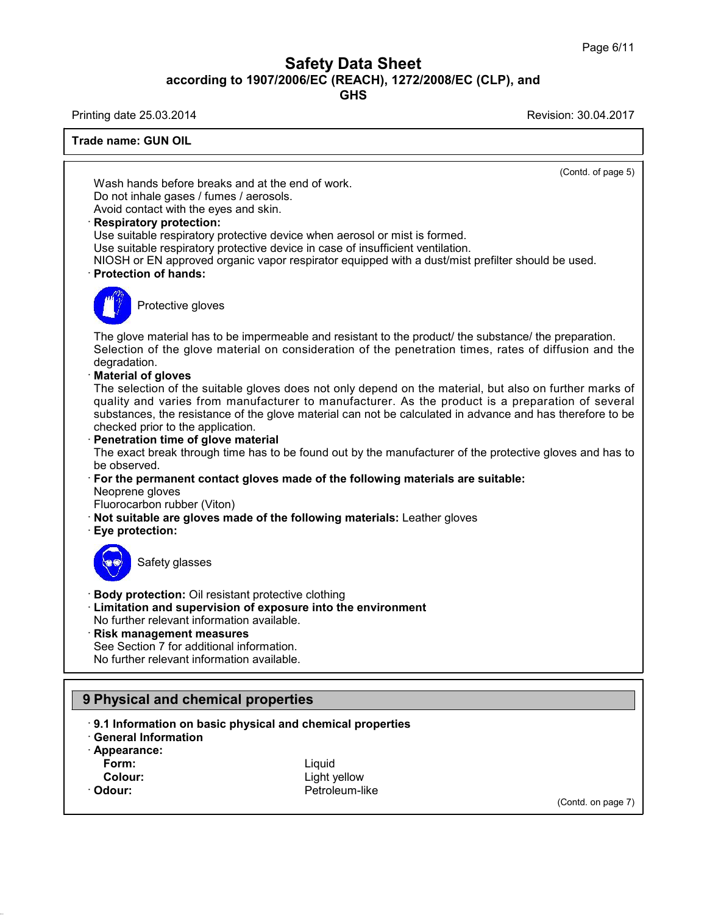## Safety Data Sheet<br><sub>006/EC (REACH), 1272/2008/EC (CLP),<br>GHS</sub> Page 6/11<br>**according to 1907/2006/EC (REACH), 1272/2008/EC (CLP), and<br>GHS<br>Revision: 30.04.2017<br>Revision: 30.04.2017 Safety Data Sheet**<br>according to 1907/2006/EC (REACH), 1272/2008/EC (CLP), and<br>Printing date 25.03.2014<br>Revision: 30.04.2017<br>Frade name: GUN OIL

**GHS**

**ACCORDING TO ACCORD ACCORDING TO A Trade name: GUN OIL**<br>Trade name: GUN OIL  $\overline{(\text{Cond. of page 5})}$ Ing date 23.03.2014<br>
Me name: GUN OIL<br>
Wash hands before breaks and at the end of work.<br>
Do not inhale gases / fumes / aerosols.<br>
Avoid contact with the eves and skin Trade name: GUN OIL<br>
Wash hands before breaks and at the end of work.<br>
Do not inhale gases / fumes / aerosols.<br>
Avoid contact with the eyes and skin.<br>
Respiratory protection: Wash hands before breaks and at the end of work.<br>Do not inhale gases / fumes / aerosols.<br>Avoid contact with the eyes and skin.<br>**· Respiratory protection:**<br>Use suitable respiratory protective device when aer<br>Use suitable re Wash hands before breaks and at the end of work.<br>Do not inhale gases / fumes / aerosols.<br>Avoid contact with the eyes and skin.<br>**Respiratory protection:**<br>Use suitable respiratory protective device when aerosol or mist is fo Use suitable respiratory protective device when aerosol or mist is formed.<br>Use suitable respiratory protective device in case of insufficient ventilation.<br>NIOSH or EN approved organic vapor respirator equipped with a dust/ Do not inhale gases / fumes / aerosols.<br>
Avoid contact with the eyes and skin.<br> **Respiratory protection:**<br>
Use suitable respiratory protective device when aerosol or mist is formed.<br>
Use suitable respiratory protective dev Solid Tespiratory protective developeration protective developeration of hands:<br>Protective gloves Protection of hands:<br>The glove material has to be impermeable and resistant to the product/ the substance/ the preparation.<br>Selection of the glove material on consideration of the penetration times, rates of diffusion and Figure 2013<br>Selection of the glove material has to be impermeable and resistant to the product/ the substance/ the preparation.<br>Selection of the glove material on consideration of the penetration times, rates of diffusion degradation.<br>**Material of gloves** The glove material has to be in<br>Selection of the glove materi<br>degradation.<br>**Material of gloves**<br>The selection of the suitable g<br>quality and varies from man The glove material has to be impermeable and resistant to the product/ the substance/ the preparation.<br>Selection of the glove material on consideration of the penetration times, rates of diffusion and the degradation.<br>**Mat** The glove material has to be impermeable and resistant to the product/ the substance/ the preparation.<br>Selection of the glove material on consideration of the penetration times, rates of diffusion and the degradation.<br>**Mat** Selection of the glove material on consideration of the penetration times, rates of diffusion and the<br>degradation.<br>**Material of gloves**<br>The selection of the suitable gloves does not only depend on the material, but also on degradation.<br> **Material of gloves**<br>
The selection of the suitable gloves does not<br>
quality and varies from manufacturer to material<br>
substances, the resistance of the glove material<br> **Conservedity**<br> **Penetration time of gl** The selection of the suitable gloves does not only depend on the material, but also on further marks of<br>quality and varies from manufacturer to manufacturer. As the product is a preparation of several<br>substances, the resis substances, the resistance of the glove material can not be calculated in advance and has therefore to be checked prior to the application.<br> **Penetration time of glove material**<br>
The exact break through time has to be foun · Penetration time of glove material The exact break through time has to be found out by the manufacturer of the protective gloves and has to<br>be observed.<br>
For the permanent contact gloves made of the following materials are suitable:<br>
Neoprene gloves<br>
Fluoro For the permanent contact gloves made of the following materials are suitable: For the permanent com<br>
Neoprene gloves<br>
Fluorocarbon rubber (V<br> **Not suitable are glove**<br> **Eye protection:** b giveon rubber (Viton)<br>able are gloves made of<br>tection:<br>Safety glasses **Example 15 September 10 State of September 2015**<br> **Body protection:** Oil resistant protective clothing<br> **Example 2015**<br> **Example 2015**<br>
No further relevant information available. **Example 3**<br> **Example 3**<br> **Example 3**<br> **Example 3**<br> **Limitation and supervision of exposure into the environment<br>
No further relevant information available.<br>
<b>Risk management measures** Safety glasses<br>
• **Body protection:** Oil resistant protective clothing<br>
• **Limitation and supervision of exposure into th**<br>
• **Risk management measures**<br>
• See Section 7 for additional information.<br>
• No further relevant i Body protection: Oil resistant protective clothi<br>Limitation and supervision of exposure into<br>No further relevant information available.<br>Risk management measures<br>See Section 7 for additional information.<br>No further relevant Body protection: Oil resistant protective clothing<br>Limitation and supervision of exposure into th<br>No further relevant information available.<br>Risk management measures<br>See Section 7 for additional information.<br>No further rel No luttiler relevant information available.<br> **Prince See Section 7 for additional information.**<br>
No further relevant information available.<br> **9 Physical and chemical properties**<br> **9.1 Information on basic physical and chem Physical and chemical properties**<br> **9.1 Information on basic physical and chemical properties**<br> **• 9.1 Information on basic physical and chemical properties**<br>
• Appearance: **9 Physical and chemical properties**<br> **9.1 Information on basic physical and chiral Information**<br> **Appearance:**<br> **Form: 1 Information on basic physical and chemical properties<br>
eneral Information<br>
ppearance:<br>
Form:<br>
Colour:**<br>
Colour:<br>
Colour:<br>
Cetroleum-like<br>
Cetroleum-like

- · **Appearance:**
- 
- 

38.0.16

**Form:** Liquid · Odour: **Petroleum-like** 

(Contd. on page 7)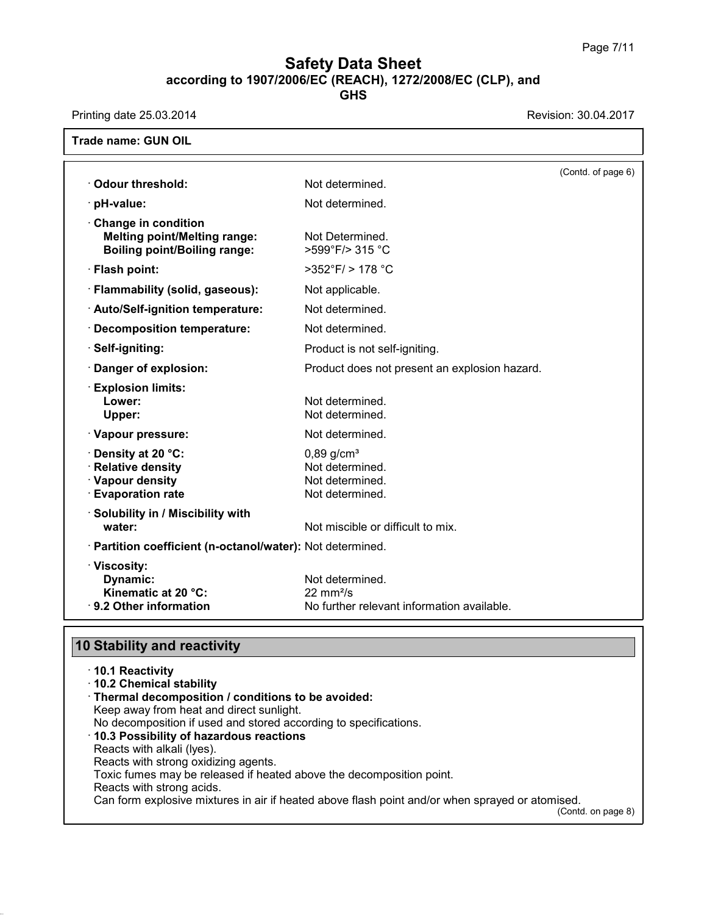## **Safety Data Sheet**<br> **according to 1907/2006/EC (REACH), 1272/2008/EC (CLP), and**<br> **GHS Safety Data Sheet**<br>according to 1907/2006/EC (REACH), 1272/2008/EC (CLP), and<br>Printing date 25.03.2014<br>Revision: 30.04.2017<br>Frade name: GUN OIL

| Printing date 25.03.2014                                                                          |                                                                                        | Revision: 30.04.2017 |
|---------------------------------------------------------------------------------------------------|----------------------------------------------------------------------------------------|----------------------|
| <b>Trade name: GUN OIL</b>                                                                        |                                                                                        |                      |
|                                                                                                   |                                                                                        | (Contd. of page 6)   |
| Odour threshold:                                                                                  | Not determined.                                                                        |                      |
| $\cdot$ pH-value:                                                                                 | Not determined.                                                                        |                      |
| Change in condition<br><b>Melting point/Melting range:</b><br><b>Boiling point/Boiling range:</b> | Not Determined.<br>>599°F/> 315 °C                                                     |                      |
| · Flash point:                                                                                    | $>352^{\circ}$ F/ $> 178^{\circ}$ C                                                    |                      |
| · Flammability (solid, gaseous):                                                                  | Not applicable.                                                                        |                      |
| · Auto/Self-ignition temperature:                                                                 | Not determined.                                                                        |                      |
| · Decomposition temperature:                                                                      | Not determined.                                                                        |                      |
| · Self-igniting:                                                                                  | Product is not self-igniting.                                                          |                      |
| Danger of explosion:                                                                              | Product does not present an explosion hazard.                                          |                      |
| <b>Explosion limits:</b><br>Lower:<br>Upper:                                                      | Not determined.<br>Not determined.                                                     |                      |
| · Vapour pressure:                                                                                | Not determined.                                                                        |                      |
| · Density at 20 °C:<br>· Relative density<br>· Vapour density<br><b>Evaporation rate</b>          | $0,89$ g/cm <sup>3</sup><br>Not determined.<br>Not determined.<br>Not determined.      |                      |
| · Solubility in / Miscibility with<br>water:                                                      | Not miscible or difficult to mix.                                                      |                      |
| · Partition coefficient (n-octanol/water): Not determined.                                        |                                                                                        |                      |
| · Viscosity:<br>Dynamic:<br>Kinematic at 20 $°C$ :<br>· 9.2 Other information                     | Not determined.<br>22 mm <sup>2</sup> /s<br>No further relevant information available. |                      |

| 9.2 Other Information                                                | <u>NO Turther relevant information available.</u>                                               |
|----------------------------------------------------------------------|-------------------------------------------------------------------------------------------------|
|                                                                      |                                                                                                 |
| <b>10 Stability and reactivity</b>                                   |                                                                                                 |
| ⋅10.1 Reactivity                                                     |                                                                                                 |
| 10.2 Chemical stability                                              |                                                                                                 |
| · Thermal decomposition / conditions to be avoided:                  |                                                                                                 |
| Keep away from heat and direct sunlight.                             |                                                                                                 |
| No decomposition if used and stored according to specifications.     |                                                                                                 |
| 10.3 Possibility of hazardous reactions                              |                                                                                                 |
| Reacts with alkali (Iyes).                                           |                                                                                                 |
| Reacts with strong oxidizing agents.                                 |                                                                                                 |
| Toxic fumes may be released if heated above the decomposition point. |                                                                                                 |
| Reacts with strong acids.                                            |                                                                                                 |
|                                                                      | Can form explosive mixtures in air if heated above flash point and/or when sprayed or atomised. |
|                                                                      | (Contd. on page 8)                                                                              |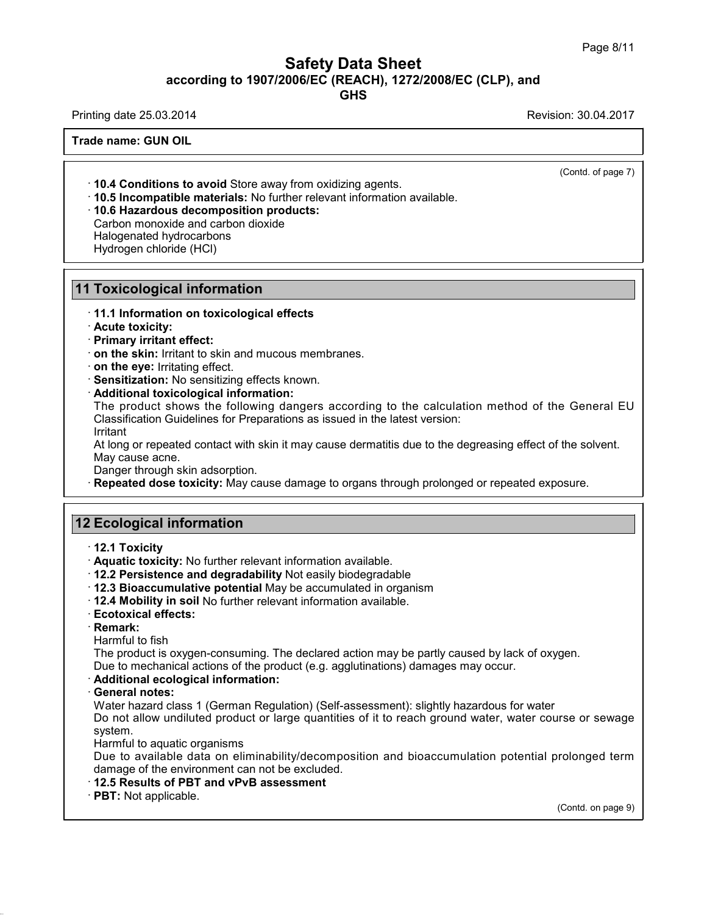## Safety Data Sheet<br><sub>006/EC (REACH), 1272/2008/EC (CLP),<br>GHS</sub> Page 8/11<br>**according to 1907/2006/EC (REACH), 1272/2008/EC (CLP), and<br>GHS<br>Revision: 30.04.2017 Safety Data Sheet**<br>according to 1907/2006/EC (REACH), 1272/2008/EC (CLP), and<br>Printing date 25.03.2014<br>Revision: 30.04.2017<br>Frade name: GUN OIL

**GHS**

**ACCORDING TO ACCORD ACCORDING TO A Trade name: GUN OIL**<br>Trade name: GUN OIL

 $\overline{(\text{Cond. of page 7})}$ 

**10.4 Conditions to avoid** Store away from oxidiz<br>**10.5 Incompatible materials:** No further relevant<br>**10.6 Hazardous decomposition products:**<br>Carbon monoxide and carbon dioxide<br>Halogenated hydrocarbons<br>Hydrogen chloride (H **10.4 Conditions to avoid** Store aw<br>**10.5 Incompatible materials:** No f<br>**10.6 Hazardous decomposition p**<br>Carbon monoxide and carbon dioxic<br>Halogenated hydrocarbons<br>Hydrogen chloride (HCl)

· **10.4 Conditions to avoid** Store away from oxidizing agents. · **10.5 Incompatible materials:** No further relevant information available. · **10.6 Hazardous decomposition products: 10.4 Conditions to avoid** Store away<br>**10.5 Incompatible materials:** No furt<br>**10.6 Hazardous decomposition pro**<br>Carbon monoxide and carbon dioxide<br>Halogenated hydrocarbons<br>Hydrogen chloride (HCl)

- 
- 
- 

### **Foxicological inform**<br>• 11.1 Information on toxi<br>• Acute toxicity:<br>• Primary irritant effect:<br>• on the skin: Irritant to ski **Foxicological information**<br>• 11.1 Information on toxicological<br>• Acute toxicity:<br>• Primary irritant effect:<br>• on the skin: Irritant to skin and mud<br>• on the eve: Irritating effect.

## **10.6 Hazardous decomposition products:**<br>Carbon monoxide and carbon dioxide<br>Halogenated hydrocarbons<br>Hydrogen chloride (HCl)<br>**11 Toxicological information**<br>11.1 Information on toxicological effects **11.1 Toxicological information<br>11.1 Information on toxicological effects**<br>11.1 Information on toxicological effects<br>1. Primary irritant effect:

- 
- 
- 
- 
- 
- 

**Proxicological information**<br> **Contract to skin:** Irritant to skin and mucous membranes.<br> **Contract to skin:** Irritant to skin and mucous membranes.<br> **Contract to skin:** Irritating effect.<br> **Contract Sensitization:** No sen **Primary irritant effect:**<br> **on the skin**: Irritant to skin and mucous membranes.<br> **On the eye:** Irritating effect.<br> **Sensitization:** No sensitizing effects known.<br> **Additional toxicological information:**<br>
The product show on the skin: Irritant to skin and mucous membranes.<br>
on the eye: Irritating effect.<br>
Sensitization: No sensitizing effects known.<br>
Additional toxicological information:<br>
The product shows the following dangers according to Sensitization: No sensitizing effects known.<br>Additional toxicological information:<br>The product shows the following dangers according to the calculation method of the General EU<br>Classification Guidelines for Preparations as Additional toxicological info<br>The product shows the follo<br>Classification Guidelines for Pi<br>Irritant<br>At long or repeated contact wit<br>May cause acne.<br>Danger through skin adsorptio<br>Repeated dose toxicity: May The product shows the following dangers according to the calculation method of the General EU<br>Classification Guidelines for Preparations as issued in the latest version:<br>Irritant<br>At long or repeated contact with skin it ma

Irritant

At long or repeated contact with skin it maid<br>
May cause acne.<br>
Danger through skin adsorption.<br> **12 Ecological information**<br> **12.1 Toxicity** 

**Repeated dose toxicity:** May cause damage to organs through prolonged or repeated exposure.<br> **12.1 Toxicity**<br> **12.1 Toxicity**<br> **12.1 Toxicity:** No further relevant information available.<br> **12.2 Persistence and degradabili** 

- 
- 

- **Ecological information**<br>
 **12.1 Toxicity**<br>
 **Aquatic toxicity:** No further relevant information available.<br>
 **12.2 Persistence and degradability** Not easily biodegradable<br>
 **12.4 Mobility in soil No further relevant 2 Ecological information**<br>
↑ 12.1 Toxicity<br>
↑ Aquatic toxicity: No further relevant information available.<br>
↑ 12.2 Persistence and degradability Not easily biodegradable<br>
↑ 12.3 Bioaccumulative potential May be accumulat **12.1 Toxicity**<br> **• Aquatic toxicity:** No further relevant information available.<br> **• 12.2 Persistence and degradability** Not easily biodegradable<br> **• 12.3 Bioaccumulative potential** May be accumulated in organism<br>
• **12.4**
- 
- 
- 

· **Remark:**

<ul>\n<li>12.3 Bioaccumulative potential May be accumulated in organism</li>\n<li>12.4 Mobility in soil No further relevant information available.</li>\n<li>Ecotoxical effects:</li>\n<li>Remark:</li>\n<li>Hamark:</li>\n<li>Harmful to fish</li>\n<li>The product is oxygen-consuming. The declared action may be partly caused by lac Due to mechanical actions of the product (e.g. agglutinations) damages may occur.</li>\n</ul> The product is oxygen-consuming. The declared action may be partly caused by lack of oxygen.<br>Due to mechanical actions of the product (e.g. agglutinations) damages may occur.<br>
Additional ecological information: **Exercise to mechanical actions of the product information available.**<br> **Ecotoxical effects:**<br> **Remark:**<br>
Harmful to fish<br>
The product is oxygen-consuming. The declared action may be partly caused by lack of oxygen.<br>
Due

- 
- 

• **Harmful to fish**<br>• **Harmful to fish**<br>• The product is oxygen-cons<br>• **Additional ecological information**<br>• **General notes:**<br>• Water hazard class 1 (Germ<br>• Do not allow undiluted prod Harmful to fish<br>The product is oxygen-consuming. The declared action may be partly caused by lack of oxygen.<br>Due to mechanical actions of the product (e.g. agglutinations) damages may occur.<br>**Additional ecological informat** The product is oxygen-consuming. The declared action may be partly caused by lack of oxygen.<br>Due to mechanical actions of the product (e.g. agglutinations) damages may occur.<br>**Additional ecological information:**<br>**General n** system. Additional ecological information:<br>General notes:<br>Water hazard class 1 (German Regula<br>Do not allow undiluted product or lar<br>system.<br>Harmful to aquatic organisms<br>Due to available data on eliminabili<br>damage of the environmen General notes:<br>Water hazard class 1 (German Regulation) (Self-assessment): slightly hazardous for water<br>Do not allow undiluted product or large quantities of it to reach ground water, water course or sewage<br>system.<br>Harmful Water hazard class 1 (German Regulation) (Self-assessm<br>Do not allow undiluted product or large quantities of it to<br>system.<br>Harmful to aquatic organisms<br>Due to available data on eliminability/decomposition a<br>damage of the e

Harmful to aquatic organisms<br>Due to available data on eliminability/decomposition and bioaccumulation potential prolonged term<br>damage of the environment can not be excluded.<br>**12.5 Results of PBT and vPvB assessment**<br>**PBT:** rolonged term<br>(Contd. on page 9)

- 
-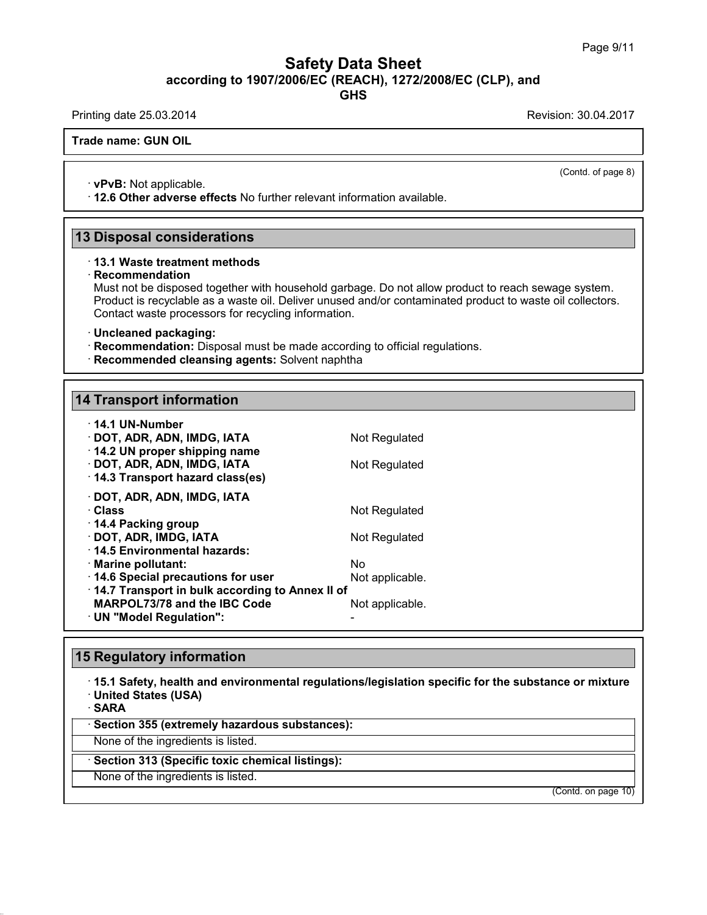## Safety Data Sheet<br><sub>006/EC (REACH), 1272/2008/EC (CLP),<br>GHS</sub> Page 9/11<br>**according to 1907/2006/EC (REACH), 1272/2008/EC (CLP), and<br>GHS<br>Revision: 30.04.2017<br>Revision: 30.04.2017 Safety Data Sheet**<br>according to 1907/2006/EC (REACH), 1272/2008/EC (CLP), and<br>Printing date 25.03.2014<br>Revision: 30.04.2017<br>Frade name: GUN OIL

**GHS**

**ACCORDING TO ACCORD ACCORDING TO A Trade name: GUN OIL**<br>Trade name: GUN OIL

 $\overline{(\text{Cond. of page 8})}$ 

• **vPvB:** Not applicable.<br>• **12.6 Other adverse effects** No further relevant information available. **12.6 Other adverse effects** No further relevant information available.<br>
13 Disposal considerations<br>
13 Disposal considerations<br>
13.1 Waste treatment methods

### · **Recommendation**

Must not be disposed together with household garbage. Do not allow product to reach sewage system. **Disposal considerations**<br>13.1 Waste treatment methods<br>Recommendation<br>Must not be disposed together with household garbage. Do not allow product to reach sewage system.<br>Product is recyclable as a waste oil. Deliver unused **Disposal considerations**<br>13.1 Waste treatment methods<br>Recommendation<br>Must not be disposed together with household garbage. Do not allow product to reach sewage system.<br>Product is recyclable as a waste oil. Deliver unused **13.1 Waste treatment methods**<br> **Recommendation**<br>
Must not be disposed together with household garbage. Do<br>
Product is recyclable as a waste oil. Deliver unused and/or<br>
Contact waste processors for recycling information.<br> • **Recommendation:** Disposed together with household garbage. Do not allow product to reader Product is recyclable as a waste oil. Deliver unused and/or contaminated product to Contact waste processors for recycling inform

- 
- **Recommended cleansing agents:** Solvent naphtha<br>14 Transport information

| · Uncleaned packaging:<br>· Recommendation: Disposal must be made according to official regulation<br>· Recommended cleansing agents: Solvent naphtha |                       |
|-------------------------------------------------------------------------------------------------------------------------------------------------------|-----------------------|
| <b>14 Transport information</b>                                                                                                                       |                       |
|                                                                                                                                                       |                       |
| · 14.1 UN-Number<br>· DOT, ADR, ADN, IMDG, IATA<br>14.2 UN proper shipping name                                                                       | Not Regulated         |
| · DOT, ADR, ADN, IMDG, IATA<br>14.3 Transport hazard class(es)                                                                                        | Not Regulated         |
| · DOT, ADR, ADN, IMDG, IATA<br>· Class                                                                                                                | Not Regulated         |
| ⋅ 14.4 Packing group<br>· DOT, ADR, IMDG, IATA<br>⋅14.5 Environmental hazards:                                                                        | Not Regulated         |
| · Marine pollutant:<br>14.6 Special precautions for user                                                                                              | Nο<br>Not applicable. |
| 14.7 Transport in bulk according to Annex II of<br>MARPOL73/78 and the IBC Code<br>· UN "Model Regulation":                                           | Not applicable.       |
|                                                                                                                                                       |                       |
| <b>15 Regulatory information</b>                                                                                                                      |                       |
| 15.1 Safety, health and environmental regulations/legislation specific                                                                                |                       |

### **15 Regulatory information**

· **15.1 Safety, health and environmental regulations/legislation specific for the substance or mixture** • **15.1 Safety, health and environmental regulations/legeral of SARA**<br>• **SARA**<br>• **Section 355 (extremely hazardous substances):**<br>None of the ingredients is listed. None of the ingredients is listed.<br>None of the ingredients is listed.<br>None of the ingredients is listed.<br>None of the ingredients is listed.<br>None of the ingredients is listed.<br>None of the ingredients is listed.

· **SARA**

38.0.16

Sakka<br>Section 355 (extremely hazardous substar<br>None of the ingredients is listed.<br>Section 313 (Specific toxic chemical listing<br>None of the ingredients is listed.

(Contd. on page 10)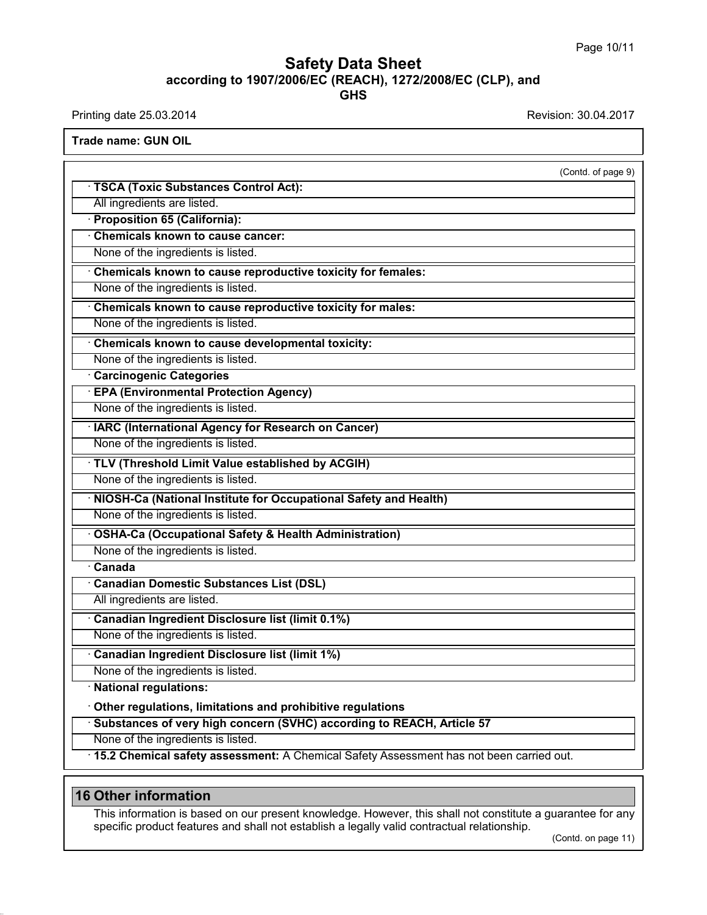## **Safety Data Sheet**<br> **according to 1907/2006/EC (REACH), 1272/2008/EC (CLP), and**<br> **GHS GHS Safety Data Sheet**<br>according to 1907/2006/EC (REACH), 1272/2008/EC (CLP), and<br>Printing date 25.03.2014<br>Revision: 30.04.2017<br>Frade name: GUN OIL

Printing date 25.03.2014<br>Trade name: GUN OIL

| <b>Trade name: GUN OIL</b>                                                                                 |                     |
|------------------------------------------------------------------------------------------------------------|---------------------|
|                                                                                                            | (Contd. of page 9)  |
| TSCA (Toxic Substances Control Act):                                                                       |                     |
| All ingredients are listed.                                                                                |                     |
| · Proposition 65 (California):                                                                             |                     |
| <b>Chemicals known to cause cancer:</b>                                                                    |                     |
| None of the ingredients is listed.                                                                         |                     |
| Chemicals known to cause reproductive toxicity for females:                                                |                     |
| None of the ingredients is listed.                                                                         |                     |
| Chemicals known to cause reproductive toxicity for males:                                                  |                     |
| None of the ingredients is listed.                                                                         |                     |
| Chemicals known to cause developmental toxicity:                                                           |                     |
| None of the ingredients is listed.                                                                         |                     |
| <b>Carcinogenic Categories</b>                                                                             |                     |
| <b>EPA (Environmental Protection Agency)</b>                                                               |                     |
| None of the ingredients is listed.                                                                         |                     |
| · IARC (International Agency for Research on Cancer)                                                       |                     |
| None of the ingredients is listed.                                                                         |                     |
| TLV (Threshold Limit Value established by ACGIH)                                                           |                     |
| None of the ingredients is listed.                                                                         |                     |
| NIOSH-Ca (National Institute for Occupational Safety and Health)                                           |                     |
| None of the ingredients is listed.                                                                         |                     |
| <b>OSHA-Ca (Occupational Safety &amp; Health Administration)</b>                                           |                     |
| None of the ingredients is listed.                                                                         |                     |
| $\overline{\cdot}$ Canada                                                                                  |                     |
| <b>Canadian Domestic Substances List (DSL)</b>                                                             |                     |
| All ingredients are listed.                                                                                |                     |
| Canadian Ingredient Disclosure list (limit 0.1%)                                                           |                     |
| None of the ingredients is listed                                                                          |                     |
| Canadian Ingredient Disclosure list (limit 1%)                                                             |                     |
| None of the ingredients is listed.                                                                         |                     |
| · National regulations:                                                                                    |                     |
| Other regulations, limitations and prohibitive regulations                                                 |                     |
| Substances of very high concern (SVHC) according to REACH, Article 57                                      |                     |
| None of the ingredients is listed.                                                                         |                     |
| · 15.2 Chemical safety assessment: A Chemical Safety Assessment has not been carried out.                  |                     |
|                                                                                                            |                     |
| <b>16 Other information</b>                                                                                |                     |
| This information is based on our present knowledge. However, this shall not constitute a guarantee for any |                     |
| specific product features and shall not establish a legally valid contractual relationship.                |                     |
|                                                                                                            | (Contd. on page 11) |